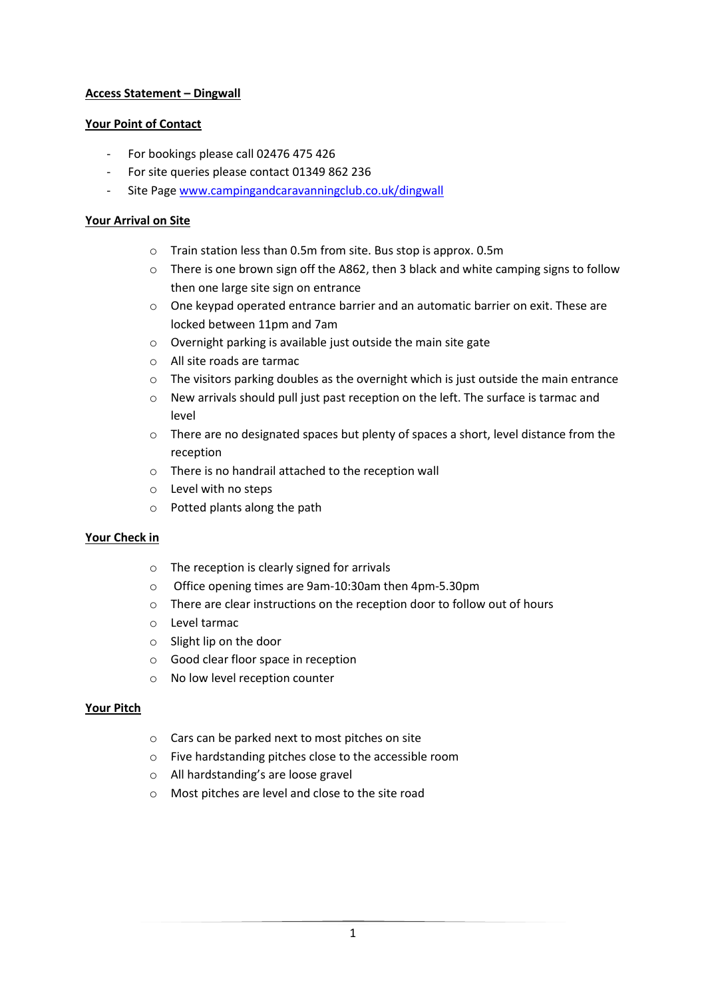# **Access Statement – Dingwall**

## **Your Point of Contact**

- For bookings please call 02476 475 426
- For site queries please contact 01349 862 236
- Site Page [www.campingandcaravanningclub.co.uk/dingwall](http://www.campingandcaravanningclub.co.uk/dingwall)

## **Your Arrival on Site**

- o Train station less than 0.5m from site. Bus stop is approx. 0.5m
- o There is one brown sign off the A862, then 3 black and white camping signs to follow then one large site sign on entrance
- $\circ$  One keypad operated entrance barrier and an automatic barrier on exit. These are locked between 11pm and 7am
- o Overnight parking is available just outside the main site gate
- o All site roads are tarmac
- $\circ$  The visitors parking doubles as the overnight which is just outside the main entrance
- o New arrivals should pull just past reception on the left. The surface is tarmac and level
- o There are no designated spaces but plenty of spaces a short, level distance from the reception
- o There is no handrail attached to the reception wall
- o Level with no steps
- o Potted plants along the path

### **Your Check in**

- o The reception is clearly signed for arrivals
- o Office opening times are 9am-10:30am then 4pm-5.30pm
- o There are clear instructions on the reception door to follow out of hours
- o Level tarmac
- o Slight lip on the door
- o Good clear floor space in reception
- o No low level reception counter

### **Your Pitch**

- o Cars can be parked next to most pitches on site
- o Five hardstanding pitches close to the accessible room
- o All hardstanding's are loose gravel
- o Most pitches are level and close to the site road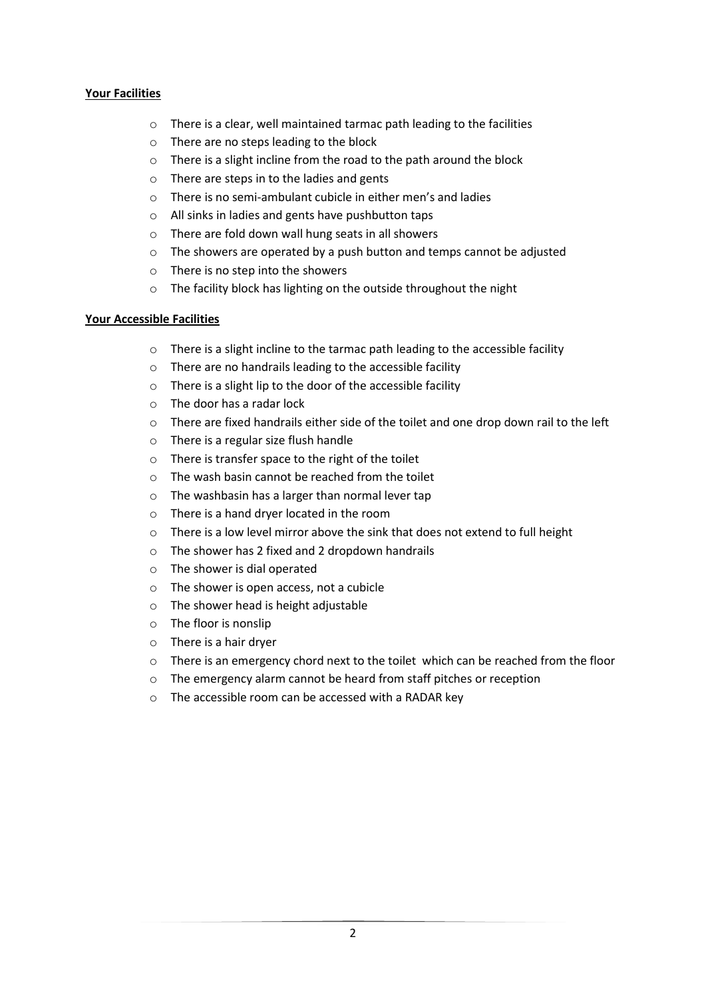# **Your Facilities**

- o There is a clear, well maintained tarmac path leading to the facilities
- o There are no steps leading to the block
- o There is a slight incline from the road to the path around the block
- o There are steps in to the ladies and gents
- o There is no semi-ambulant cubicle in either men's and ladies
- o All sinks in ladies and gents have pushbutton taps
- o There are fold down wall hung seats in all showers
- o The showers are operated by a push button and temps cannot be adjusted
- o There is no step into the showers
- o The facility block has lighting on the outside throughout the night

### **Your Accessible Facilities**

- $\circ$  There is a slight incline to the tarmac path leading to the accessible facility
- o There are no handrails leading to the accessible facility
- o There is a slight lip to the door of the accessible facility
- o The door has a radar lock
- o There are fixed handrails either side of the toilet and one drop down rail to the left
- o There is a regular size flush handle
- o There is transfer space to the right of the toilet
- $\circ$  The wash basin cannot be reached from the toilet
- o The washbasin has a larger than normal lever tap
- o There is a hand dryer located in the room
- $\circ$  There is a low level mirror above the sink that does not extend to full height
- o The shower has 2 fixed and 2 dropdown handrails
- o The shower is dial operated
- o The shower is open access, not a cubicle
- $\circ$  The shower head is height adjustable
- o The floor is nonslip
- o There is a hair dryer
- $\circ$  There is an emergency chord next to the toilet which can be reached from the floor
- o The emergency alarm cannot be heard from staff pitches or reception
- o The accessible room can be accessed with a RADAR key